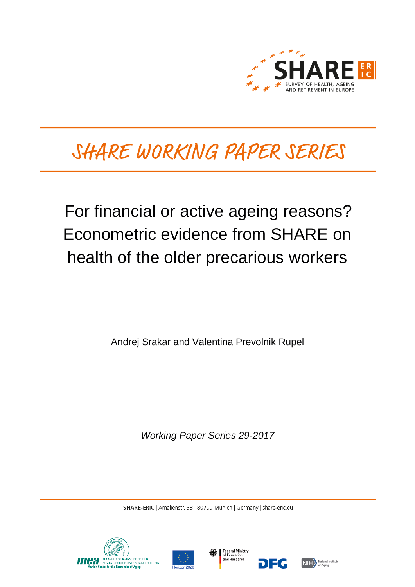

# SHARE WORKING PAPER SERIES

For financial or active ageing reasons? Econometric evidence from SHARE on health of the older precarious workers

Andrej Srakar and Valentina Prevolnik Rupel

*Working Paper Series 29-2017*

SHARE-ERIC | Amalienstr. 33 | 80799 Munich | Germany | share-eric.eu







DEG

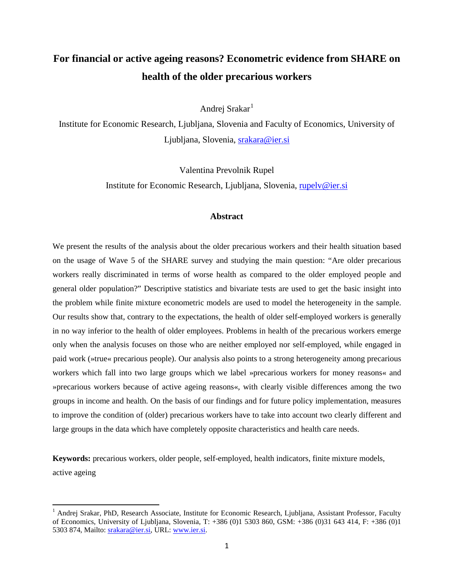# **For financial or active ageing reasons? Econometric evidence from SHARE on health of the older precarious workers**

Andrei Srakar<sup>[1](#page-1-0)</sup>

Institute for Economic Research, Ljubljana, Slovenia and Faculty of Economics, University of Ljubljana, Slovenia, [srakara@ier.si](mailto:srakara@ier.si)

> Valentina Prevolnik Rupel Institute for Economic Research, Ljubljana, Slovenia, [rupelv@ier.si](mailto:rupelv@ier.si)

## **Abstract**

We present the results of the analysis about the older precarious workers and their health situation based on the usage of Wave 5 of the SHARE survey and studying the main question: "Are older precarious workers really discriminated in terms of worse health as compared to the older employed people and general older population?" Descriptive statistics and bivariate tests are used to get the basic insight into the problem while finite mixture econometric models are used to model the heterogeneity in the sample. Our results show that, contrary to the expectations, the health of older self-employed workers is generally in no way inferior to the health of older employees. Problems in health of the precarious workers emerge only when the analysis focuses on those who are neither employed nor self-employed, while engaged in paid work (»true« precarious people). Our analysis also points to a strong heterogeneity among precarious workers which fall into two large groups which we label »precarious workers for money reasons« and »precarious workers because of active ageing reasons«, with clearly visible differences among the two groups in income and health. On the basis of our findings and for future policy implementation, measures to improve the condition of (older) precarious workers have to take into account two clearly different and large groups in the data which have completely opposite characteristics and health care needs.

**Keywords:** precarious workers, older people, self-employed, health indicators, finite mixture models, active ageing

<span id="page-1-0"></span><sup>&</sup>lt;sup>1</sup> Andrej Srakar, PhD, Research Associate, Institute for Economic Research, Ljubljana, Assistant Professor, Faculty of Economics, University of Ljubljana, Slovenia, T: +386 (0)1 5303 860, GSM: +386 (0)31 643 414, F: +386 (0)1 5303 874, Mailto: [srakara@ier.si,](mailto:srakara@ier.si) URL: [www.ier.si.](http://www.ier.si/)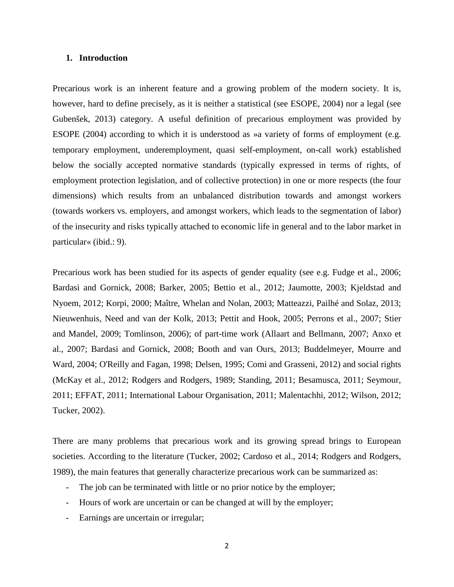## **1. Introduction**

Precarious work is an inherent feature and a growing problem of the modern society. It is, however, hard to define precisely, as it is neither a statistical (see ESOPE, 2004) nor a legal (see Gubenšek, 2013) category. A useful definition of precarious employment was provided by ESOPE (2004) according to which it is understood as »a variety of forms of employment (e.g. temporary employment, underemployment, quasi self-employment, on-call work) established below the socially accepted normative standards (typically expressed in terms of rights, of employment protection legislation, and of collective protection) in one or more respects (the four dimensions) which results from an unbalanced distribution towards and amongst workers (towards workers vs. employers, and amongst workers, which leads to the segmentation of labor) of the insecurity and risks typically attached to economic life in general and to the labor market in particular« (ibid.: 9).

Precarious work has been studied for its aspects of gender equality (see e.g. Fudge et al., 2006; Bardasi and Gornick, 2008; Barker, 2005; Bettio et al., 2012; Jaumotte, 2003; Kjeldstad and Nyoem, 2012; Korpi, 2000; Maître, Whelan and Nolan, 2003; Matteazzi, Pailhé and Solaz, 2013; Nieuwenhuis, Need and van der Kolk, 2013; Pettit and Hook, 2005; Perrons et al., 2007; Stier and Mandel, 2009; Tomlinson, 2006); of part-time work (Allaart and Bellmann, 2007; Anxo et al., 2007; Bardasi and Gornick, 2008; Booth and van Ours, 2013; Buddelmeyer, Mourre and Ward, 2004; O'Reilly and Fagan, 1998; Delsen, 1995; Comi and Grasseni, 2012) and social rights (McKay et al., 2012; Rodgers and Rodgers, 1989; Standing, 2011; Besamusca, 2011; Seymour, 2011; EFFAT, 2011; International Labour Organisation, 2011; Malentachhi, 2012; Wilson, 2012; Tucker, 2002).

There are many problems that precarious work and its growing spread brings to European societies. According to the literature (Tucker, 2002; Cardoso et al., 2014; Rodgers and Rodgers, 1989), the main features that generally characterize precarious work can be summarized as:

- The job can be terminated with little or no prior notice by the employer;
- Hours of work are uncertain or can be changed at will by the employer;
- Earnings are uncertain or irregular;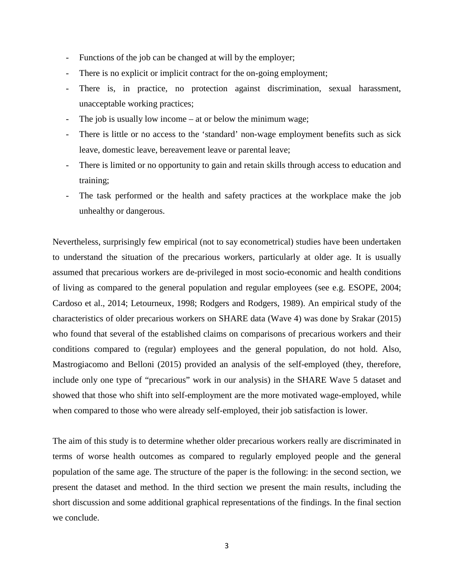- Functions of the job can be changed at will by the employer;
- There is no explicit or implicit contract for the on-going employment;
- There is, in practice, no protection against discrimination, sexual harassment, unacceptable working practices;
- The job is usually low income at or below the minimum wage;
- There is little or no access to the 'standard' non-wage employment benefits such as sick leave, domestic leave, bereavement leave or parental leave;
- There is limited or no opportunity to gain and retain skills through access to education and training;
- The task performed or the health and safety practices at the workplace make the job unhealthy or dangerous.

Nevertheless, surprisingly few empirical (not to say econometrical) studies have been undertaken to understand the situation of the precarious workers, particularly at older age. It is usually assumed that precarious workers are de-privileged in most socio-economic and health conditions of living as compared to the general population and regular employees (see e.g. ESOPE, 2004; Cardoso et al., 2014; Letourneux, 1998; Rodgers and Rodgers, 1989). An empirical study of the characteristics of older precarious workers on SHARE data (Wave 4) was done by Srakar (2015) who found that several of the established claims on comparisons of precarious workers and their conditions compared to (regular) employees and the general population, do not hold. Also, Mastrogiacomo and Belloni (2015) provided an analysis of the self-employed (they, therefore, include only one type of "precarious" work in our analysis) in the SHARE Wave 5 dataset and showed that those who shift into self-employment are the more motivated wage-employed, while when compared to those who were already self-employed, their job satisfaction is lower.

The aim of this study is to determine whether older precarious workers really are discriminated in terms of worse health outcomes as compared to regularly employed people and the general population of the same age. The structure of the paper is the following: in the second section, we present the dataset and method. In the third section we present the main results, including the short discussion and some additional graphical representations of the findings. In the final section we conclude.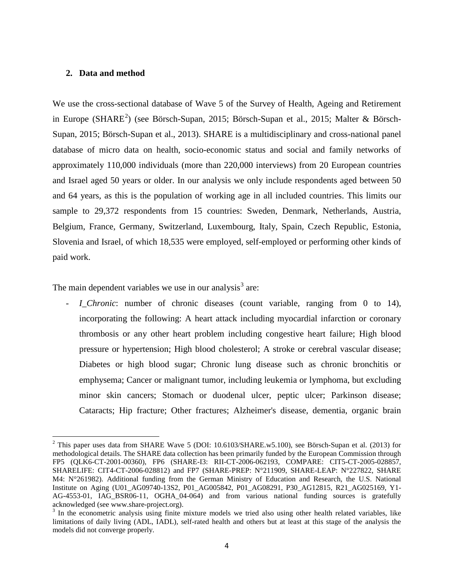# **2. Data and method**

We use the cross-sectional database of Wave 5 of the Survey of Health, Ageing and Retirement in Europe (SHARE<sup>[2](#page-4-0)</sup>) (see Börsch-Supan, 2015; Börsch-Supan et al., 2015; Malter & Börsch-Supan, 2015; Börsch-Supan et al., 2013). SHARE is a multidisciplinary and cross-national panel database of micro data on health, socio-economic status and social and family networks of approximately 110,000 individuals (more than 220,000 interviews) from 20 European countries and Israel aged 50 years or older. In our analysis we only include respondents aged between 50 and 64 years, as this is the population of working age in all included countries. This limits our sample to 29,372 respondents from 15 countries: Sweden, Denmark, Netherlands, Austria, Belgium, France, Germany, Switzerland, Luxembourg, Italy, Spain, Czech Republic, Estonia, Slovenia and Israel, of which 18,535 were employed, self-employed or performing other kinds of paid work.

The main dependent variables we use in our analysis<sup>[3](#page-4-1)</sup> are:

*I\_Chronic*: number of chronic diseases (count variable, ranging from 0 to 14), incorporating the following: A heart attack including myocardial infarction or coronary thrombosis or any other heart problem including congestive heart failure; High blood pressure or hypertension; High blood cholesterol; A stroke or cerebral vascular disease; Diabetes or high blood sugar; Chronic lung disease such as chronic bronchitis or emphysema; Cancer or malignant tumor, including leukemia or lymphoma, but excluding minor skin cancers; Stomach or duodenal ulcer, peptic ulcer; Parkinson disease; Cataracts; Hip fracture; Other fractures; Alzheimer's disease, dementia, organic brain

<span id="page-4-0"></span><sup>&</sup>lt;sup>2</sup> This paper uses data from SHARE Wave 5 (DOI: 10.6103/SHARE.w5.100), see Börsch-Supan et al. (2013) for methodological details. The SHARE data collection has been primarily funded by the European Commission through FP5 (QLK6-CT-2001-00360), FP6 (SHARE-I3: RII-CT-2006-062193, COMPARE: CIT5-CT-2005-028857, SHARELIFE: CIT4-CT-2006-028812) and FP7 (SHARE-PREP: N°211909, SHARE-LEAP: N°227822, SHARE M4: N°261982). Additional funding from the German Ministry of Education and Research, the U.S. National Institute on Aging (U01\_AG09740-13S2, P01\_AG005842, P01\_AG08291, P30\_AG12815, R21\_AG025169, Y1- AG-4553-01, IAG\_BSR06-11, OGHA\_04-064) and from various national funding sources is gratefully acknowledged (see www.share-project.org).

<span id="page-4-1"></span> $3$  In the econometric analysis using finite mixture models we tried also using other health related variables, like limitations of daily living (ADL, IADL), self-rated health and others but at least at this stage of the analysis the models did not converge properly.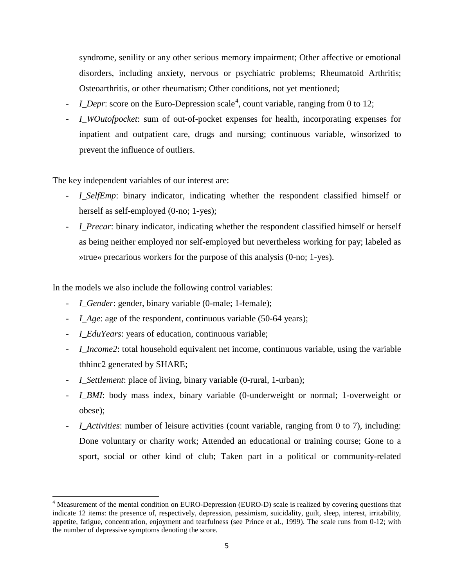syndrome, senility or any other serious memory impairment; Other affective or emotional disorders, including anxiety, nervous or psychiatric problems; Rheumatoid Arthritis; Osteoarthritis, or other rheumatism; Other conditions, not yet mentioned;

- *I\_Depr*: score on the Euro-Depression scale<sup>[4](#page-5-0)</sup>, count variable, ranging from 0 to 12;
- *I WOutofpocket*: sum of out-of-pocket expenses for health, incorporating expenses for inpatient and outpatient care, drugs and nursing; continuous variable, winsorized to prevent the influence of outliers.

The key independent variables of our interest are:

- *I\_SelfEmp*: binary indicator, indicating whether the respondent classified himself or herself as self-employed (0-no; 1-yes);
- *I\_Precar*: binary indicator, indicating whether the respondent classified himself or herself as being neither employed nor self-employed but nevertheless working for pay; labeled as »true« precarious workers for the purpose of this analysis (0-no; 1-yes).

In the models we also include the following control variables:

- *I\_Gender*: gender, binary variable (0-male; 1-female);
- *I Age*: age of the respondent, continuous variable (50-64 years);
- *I\_EduYears*: years of education, continuous variable;
- *I\_Income2*: total household equivalent net income, continuous variable, using the variable thhinc2 generated by SHARE;
- *I\_Settlement*: place of living, binary variable (0-rural, 1-urban);
- *I\_BMI*: body mass index, binary variable (0-underweight or normal; 1-overweight or obese);
- *I\_Activities*: number of leisure activities (count variable, ranging from 0 to 7), including: Done voluntary or charity work; Attended an educational or training course; Gone to a sport, social or other kind of club; Taken part in a political or community-related

<span id="page-5-0"></span><sup>4</sup> Measurement of the mental condition on EURO-Depression (EURO-D) scale is realized by covering questions that indicate 12 items: the presence of, respectively, depression, pessimism, suicidality, guilt, sleep, interest, irritability, appetite, fatigue, concentration, enjoyment and tearfulness (see Prince et al., 1999). The scale runs from 0-12; with the number of depressive symptoms denoting the score.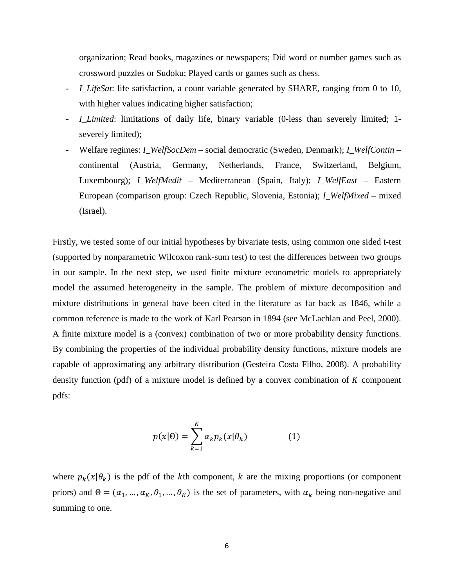organization; Read books, magazines or newspapers; Did word or number games such as crossword puzzles or Sudoku; Played cards or games such as chess.

- *I\_LifeSat*: life satisfaction, a count variable generated by SHARE, ranging from 0 to 10, with higher values indicating higher satisfaction;
- *I* Limited: limitations of daily life, binary variable (0-less than severely limited; 1severely limited);
- Welfare regimes: *I\_WelfSocDem* social democratic (Sweden, Denmark); *I\_WelfContin* continental (Austria, Germany, Netherlands, France, Switzerland, Belgium, Luxembourg); *I\_WelfMedit* – Mediterranean (Spain, Italy); *I\_WelfEast* – Eastern European (comparison group: Czech Republic, Slovenia, Estonia); *I\_WelfMixed* – mixed (Israel).

Firstly, we tested some of our initial hypotheses by bivariate tests, using common one sided t-test (supported by nonparametric Wilcoxon rank-sum test) to test the differences between two groups in our sample. In the next step, we used finite mixture econometric models to appropriately model the assumed heterogeneity in the sample. The problem of mixture decomposition and mixture distributions in general have been cited in the literature as far back as 1846, while a common reference is made to the work of Karl Pearson in 1894 (see McLachlan and Peel, 2000). A finite mixture model is a (convex) combination of two or more probability density functions. By combining the properties of the individual probability density functions, mixture models are capable of approximating any arbitrary distribution (Gesteira Costa Filho, 2008). A probability density function (pdf) of a mixture model is defined by a convex combination of  $K$  component pdfs:

$$
p(x|\Theta) = \sum_{k=1}^{K} \alpha_k p_k(x|\theta_k)
$$
 (1)

where  $p_k(x|\theta_k)$  is the pdf of the kth component, k are the mixing proportions (or component priors) and  $\Theta = (\alpha_1, ..., \alpha_K, \theta_1, ..., \theta_K)$  is the set of parameters, with  $\alpha_k$  being non-negative and summing to one.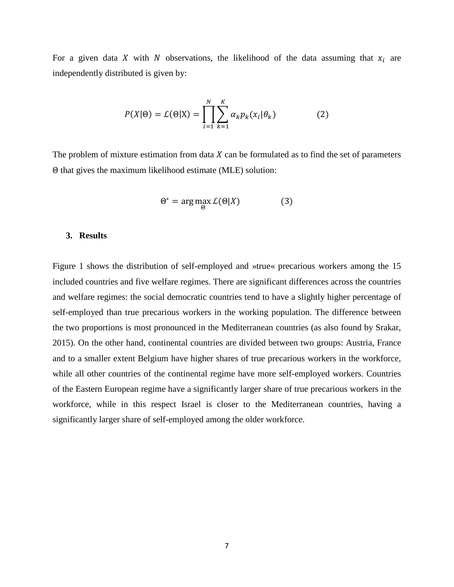For a given data X with N observations, the likelihood of the data assuming that  $x_i$  are independently distributed is given by:

$$
P(X|\Theta) = \mathcal{L}(\Theta|X) = \prod_{i=1}^{N} \sum_{k=1}^{K} \alpha_k p_k(x_i|\theta_k)
$$
 (2)

The problem of mixture estimation from data  $X$  can be formulated as to find the set of parameters Θ that gives the maximum likelihood estimate (MLE) solution:

$$
\Theta^* = \arg\max_{\Theta} \mathcal{L}(\Theta|X) \tag{3}
$$

#### **3. Results**

Figure 1 shows the distribution of self-employed and »true« precarious workers among the 15 included countries and five welfare regimes. There are significant differences across the countries and welfare regimes: the social democratic countries tend to have a slightly higher percentage of self-employed than true precarious workers in the working population. The difference between the two proportions is most pronounced in the Mediterranean countries (as also found by Srakar, 2015). On the other hand, continental countries are divided between two groups: Austria, France and to a smaller extent Belgium have higher shares of true precarious workers in the workforce, while all other countries of the continental regime have more self-employed workers. Countries of the Eastern European regime have a significantly larger share of true precarious workers in the workforce, while in this respect Israel is closer to the Mediterranean countries, having a significantly larger share of self-employed among the older workforce.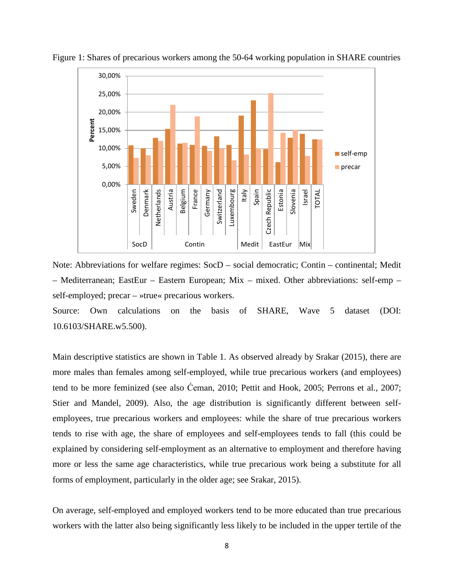

Figure 1: Shares of precarious workers among the 50-64 working population in SHARE countries

Note: Abbreviations for welfare regimes: SocD – social democratic; Contin – continental; Medit – Mediterranean; EastEur – Eastern European; Mix – mixed. Other abbreviations: self-emp – self-employed; precar – »true« precarious workers.

Source: Own calculations on the basis of SHARE, Wave 5 dataset (DOI: 10.6103/SHARE.w5.500).

Main descriptive statistics are shown in Table 1. As observed already by Srakar (2015), there are more males than females among self-employed, while true precarious workers (and employees) tend to be more feminized (see also Ćeman, 2010; Pettit and Hook, 2005; Perrons et al., 2007; Stier and Mandel, 2009). Also, the age distribution is significantly different between selfemployees, true precarious workers and employees: while the share of true precarious workers tends to rise with age, the share of employees and self-employees tends to fall (this could be explained by considering self-employment as an alternative to employment and therefore having more or less the same age characteristics, while true precarious work being a substitute for all forms of employment, particularly in the older age; see Srakar, 2015).

On average, self-employed and employed workers tend to be more educated than true precarious workers with the latter also being significantly less likely to be included in the upper tertile of the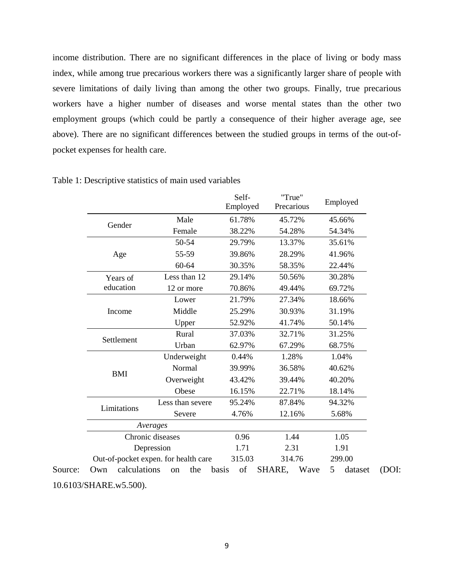income distribution. There are no significant differences in the place of living or body mass index, while among true precarious workers there was a significantly larger share of people with severe limitations of daily living than among the other two groups. Finally, true precarious workers have a higher number of diseases and worse mental states than the other two employment groups (which could be partly a consequence of their higher average age, see above). There are no significant differences between the studied groups in terms of the out-ofpocket expenses for health care.

|                     |                                      | Self-<br>Employed | "True"<br>Precarious | Employed     |  |  |
|---------------------|--------------------------------------|-------------------|----------------------|--------------|--|--|
|                     | Male                                 | 61.78%            | 45.72%               | 45.66%       |  |  |
| Gender              | Female                               | 38.22%            | 54.28%               | 54.34%       |  |  |
|                     | 50-54                                | 29.79%            | 13.37%               | 35.61%       |  |  |
| Age                 | 55-59                                | 39.86%            | 28.29%               | 41.96%       |  |  |
|                     | 60-64                                | 30.35%            | 58.35%               | 22.44%       |  |  |
| Years of            | Less than 12                         | 29.14%            | 50.56%               | 30.28%       |  |  |
| education           | 12 or more                           | 70.86%            | 49.44%               | 69.72%       |  |  |
|                     | Lower                                | 21.79%            | 27.34%               | 18.66%       |  |  |
| Income              | Middle                               | 25.29%            | 30.93%               | 31.19%       |  |  |
|                     | Upper                                | 52.92%            | 41.74%               | 50.14%       |  |  |
|                     | Rural                                | 37.03%            | 32.71%               | 31.25%       |  |  |
| Settlement          | Urban                                | 62.97%            | 67.29%               | 68.75%       |  |  |
|                     | Underweight                          | 0.44%             | 1.28%                | 1.04%        |  |  |
|                     | Normal                               | 39.99%            | 36.58%               | 40.62%       |  |  |
| <b>BMI</b>          | Overweight                           | 43.42%            | 39.44%               | 40.20%       |  |  |
|                     | Obese                                | 16.15%            | 22.71%               | 18.14%       |  |  |
| Limitations         | Less than severe                     | 95.24%            | 87.84%               | 94.32%       |  |  |
|                     | Severe                               | 4.76%             | 12.16%               | 5.68%        |  |  |
|                     | Averages                             |                   |                      |              |  |  |
|                     | Chronic diseases                     | 0.96              | 1.44                 |              |  |  |
|                     | Depression                           | 1.71              | 2.31                 |              |  |  |
|                     | Out-of-pocket expen. for health care | 315.03            | 314.76               | 299.00       |  |  |
| calculations<br>Own | the<br>on                            | of<br>basis       | SHARE,<br>Wave       | 5<br>dataset |  |  |

<sup>10.6103/</sup>SHARE.w5.500).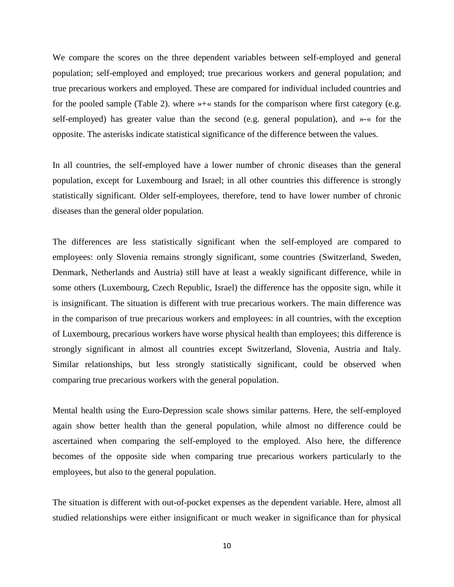We compare the scores on the three dependent variables between self-employed and general population; self-employed and employed; true precarious workers and general population; and true precarious workers and employed. These are compared for individual included countries and for the pooled sample (Table 2). where »+« stands for the comparison where first category (e.g. self-employed) has greater value than the second (e.g. general population), and »-« for the opposite. The asterisks indicate statistical significance of the difference between the values.

In all countries, the self-employed have a lower number of chronic diseases than the general population, except for Luxembourg and Israel; in all other countries this difference is strongly statistically significant. Older self-employees, therefore, tend to have lower number of chronic diseases than the general older population.

The differences are less statistically significant when the self-employed are compared to employees: only Slovenia remains strongly significant, some countries (Switzerland, Sweden, Denmark, Netherlands and Austria) still have at least a weakly significant difference, while in some others (Luxembourg, Czech Republic, Israel) the difference has the opposite sign, while it is insignificant. The situation is different with true precarious workers. The main difference was in the comparison of true precarious workers and employees: in all countries, with the exception of Luxembourg, precarious workers have worse physical health than employees; this difference is strongly significant in almost all countries except Switzerland, Slovenia, Austria and Italy. Similar relationships, but less strongly statistically significant, could be observed when comparing true precarious workers with the general population.

Mental health using the Euro-Depression scale shows similar patterns. Here, the self-employed again show better health than the general population, while almost no difference could be ascertained when comparing the self-employed to the employed. Also here, the difference becomes of the opposite side when comparing true precarious workers particularly to the employees, but also to the general population.

The situation is different with out-of-pocket expenses as the dependent variable. Here, almost all studied relationships were either insignificant or much weaker in significance than for physical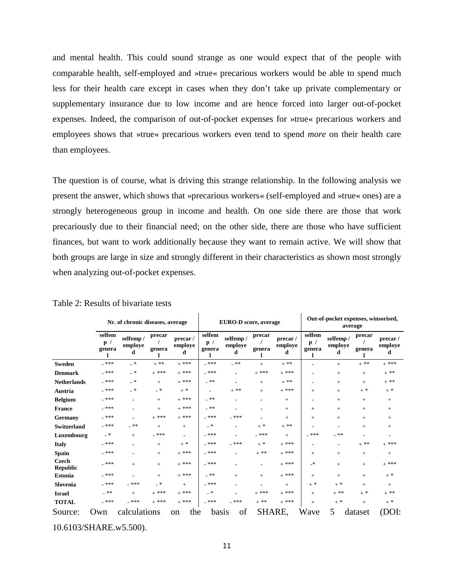and mental health. This could sound strange as one would expect that of the people with comparable health, self-employed and »true« precarious workers would be able to spend much less for their health care except in cases when they don't take up private complementary or supplementary insurance due to low income and are hence forced into larger out-of-pocket expenses. Indeed, the comparison of out-of-pocket expenses for »true« precarious workers and employees shows that »true« precarious workers even tend to spend *more* on their health care than employees.

The question is of course, what is driving this strange relationship. In the following analysis we present the answer, which shows that »precarious workers« (self-employed and »true« ones) are a strongly heterogeneous group in income and health. On one side there are those that work precariously due to their financial need; on the other side, there are those who have sufficient finances, but want to work additionally because they want to remain active. We will show that both groups are large in size and strongly different in their characteristics as shown most strongly when analyzing out-of-pocket expenses.

|                                 | Nr. of chronic diseases, average |                          |                  |                          |                          | EURO-D score, average    |                   |                                 | Out-of-pocket expenses, winsorised,<br>average |                          |                  |                                 |  |  |
|---------------------------------|----------------------------------|--------------------------|------------------|--------------------------|--------------------------|--------------------------|-------------------|---------------------------------|------------------------------------------------|--------------------------|------------------|---------------------------------|--|--|
|                                 | selfem<br>p /<br>genera          | selfemp/<br>employe<br>d | precar<br>genera | precar/<br>employe<br>d  | selfem<br>p /<br>genera  | selfemp/<br>employe<br>d | precar<br>genera  | precar/<br>$\bf{employee}$<br>d | selfem<br>p /<br>$\,$ genera                   | selfemp/<br>employe<br>đ | precar<br>genera | precar/<br>$\bf{employee}$<br>d |  |  |
| <b>Sweden</b>                   | $-$ ***                          | - *                      | $+$ **           | $+$ ***                  | $-$ ***                  | $-$ **                   | $+$               | $+$ **                          |                                                | $+$                      | $+ * *$          | $+$ ***                         |  |  |
| <b>Denmark</b>                  | $-$ ***                          | - *                      | $+$ ***          | $+$ ***                  | $-$ ***                  | $\overline{\phantom{a}}$ | $+$ ***           | $+$ ***                         |                                                | $+$                      | $+$              | $+$ **                          |  |  |
| <b>Netherlands</b>              | $-$ ***                          | - *                      | $+$              | $+$ ***                  | _ 米米                     | $\overline{\phantom{a}}$ | $+$               | $+$ **                          | ٠                                              | $+$                      | $^{+}$           | $+ * *$                         |  |  |
| Austria                         | _ 米米米                            | - *                      | - *              | $+$ *                    | $\overline{\phantom{a}}$ | $+$ $^{\ast\ast}$        | $\! + \!\!\!\!$   | $+$ ***                         | $^{+}$                                         | $^{+}$                   | $+$ *            | $+$ *                           |  |  |
| <b>Belgium</b>                  | $-$ ***                          | ۰                        | $^{+}$           | $+$ ***                  | _ 米米                     | $\overline{\phantom{a}}$ | ۰                 | $^{+}$                          | ۰                                              | $^+$                     | $^{+}$           | $^{+}$                          |  |  |
| France                          | $-$ ***                          |                          | $+$              | $+$ ***                  | _ 米米                     | $\overline{\phantom{a}}$ | ۰                 | $+$                             | $^{+}$                                         | $+$                      | $+$              | $+$                             |  |  |
| Germany                         | $-$ ***                          |                          | $+$ ***          | $+$ ***                  | $-$ ***                  | $-$ ***                  |                   | $^{+}$                          | $^{+}$                                         | $+$                      | $^{+}$           | $+$                             |  |  |
| <b>Switzerland</b>              | $-$ ***                          | $-$ **                   | $+$              | $^{+}$                   | - *                      | $\overline{\phantom{a}}$ | $+$ *             | $+ * *$                         | ٠                                              |                          | $+$              | $+$                             |  |  |
| Luxembourg                      | - *                              | $+$                      | $-$ ***          | $\overline{\phantom{a}}$ | $-$ ***                  | $\overline{\phantom{a}}$ | $-$ ***           | $^{+}$                          | $-$ ***                                        | _ 米米                     |                  |                                 |  |  |
| <b>Italy</b>                    | $-$ ***                          | ۰                        | $^{+}$           | $+$ *                    | $-$ ***                  | $-$ ***                  | $+$ *             | $+$ ***                         | ٠                                              |                          | $+$ **           | $+$ ***                         |  |  |
| <b>Spain</b>                    | $-$ ***                          |                          | $^{+}$           | $+$ ***                  | $-$ ***                  |                          | $+$ **            | $+$ ***                         | $^{+}$                                         | $^{+}$                   | $^{+}$           | $^{+}$                          |  |  |
| <b>Czech</b><br><b>Republic</b> | _ 米米米                            | $+$                      | $+$              | $+$ ***                  | $-$ ***                  |                          | ۰.                | $+$ ***                         | $\cdot$ *                                      | $^{+}$                   | $+$              | $\pm$ ***                       |  |  |
| <b>Estonia</b>                  | $-$ ***                          |                          | $^{+}$           | $+$ ***                  | _ **                     | $^{+}$                   | $+$               | $+$ ***                         | $+$                                            | $^{+}$                   | $+$              | $+$ *                           |  |  |
| Slovenia                        | $-$ ***                          | $-$ ***                  | - *              | $+$                      | $-$ ***                  |                          | ۰                 | $+$                             | $\pm$ *                                        | $+$ *                    | $^{+}$           | $+$                             |  |  |
| <b>Israel</b>                   | $\_$ **                          | $+$                      | $+$ ***          | $+$ ***                  | - *                      |                          | $+$ ***           | $+$ ***                         | $^{+}$                                         | $+$ $^{\ast\ast}$        | $+$ *            | $+$ **                          |  |  |
| <b>TOTAL</b>                    | $\_$ ***                         | $\_$ ***                 | $+$ ***          | $+$ ***                  | $\_$ ***                 | $-$ ***                  | $+$ $^{\ast\ast}$ | $+$ ***                         | $^{+}$                                         | $+$ *                    | $^{+}$           | $+$ *                           |  |  |
| Source:                         | Own                              | calculations             |                  | the<br>on                | basis                    | of                       |                   | SHARE,                          | Wave                                           | 5                        | dataset          | (DOI:                           |  |  |

Table 2: Results of bivariate tests

10.6103/SHARE.w5.500).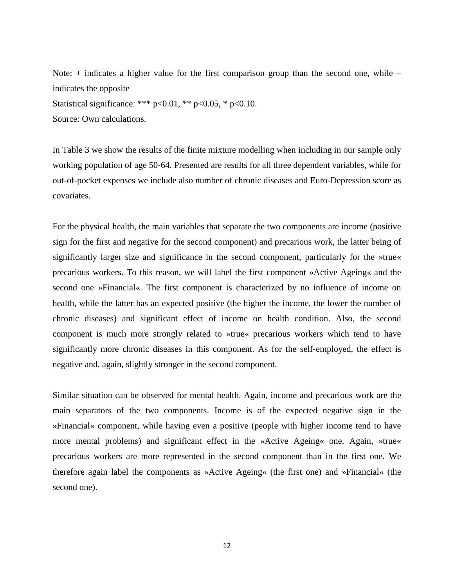Note: + indicates a higher value for the first comparison group than the second one, while – indicates the opposite Statistical significance: \*\*\*  $p<0.01$ , \*\*  $p<0.05$ , \*  $p<0.10$ .

Source: Own calculations.

In Table 3 we show the results of the finite mixture modelling when including in our sample only working population of age 50-64. Presented are results for all three dependent variables, while for out-of-pocket expenses we include also number of chronic diseases and Euro-Depression score as covariates.

For the physical health, the main variables that separate the two components are income (positive sign for the first and negative for the second component) and precarious work, the latter being of significantly larger size and significance in the second component, particularly for the »true« precarious workers. To this reason, we will label the first component »Active Ageing« and the second one »Financial«. The first component is characterized by no influence of income on health, while the latter has an expected positive (the higher the income, the lower the number of chronic diseases) and significant effect of income on health condition. Also, the second component is much more strongly related to »true« precarious workers which tend to have significantly more chronic diseases in this component. As for the self-employed, the effect is negative and, again, slightly stronger in the second component.

Similar situation can be observed for mental health. Again, income and precarious work are the main separators of the two components. Income is of the expected negative sign in the »Financial« component, while having even a positive (people with higher income tend to have more mental problems) and significant effect in the »Active Ageing« one. Again, »true« precarious workers are more represented in the second component than in the first one. We therefore again label the components as »Active Ageing« (the first one) and »Financial« (the second one).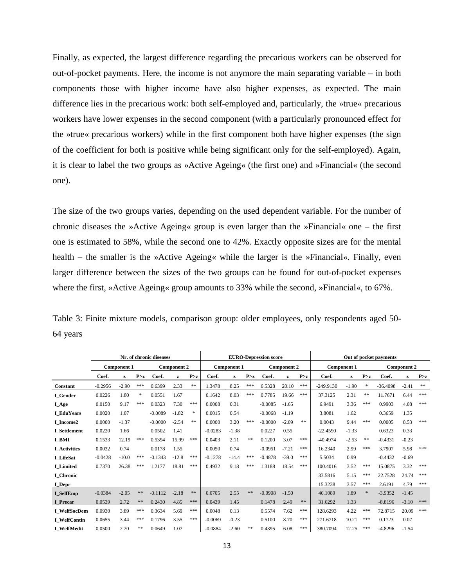Finally, as expected, the largest difference regarding the precarious workers can be observed for out-of-pocket payments. Here, the income is not anymore the main separating variable – in both components those with higher income have also higher expenses, as expected. The main difference lies in the precarious work: both self-employed and, particularly, the »true« precarious workers have lower expenses in the second component (with a particularly pronounced effect for the »true« precarious workers) while in the first component both have higher expenses (the sign of the coefficient for both is positive while being significant only for the self-employed). Again, it is clear to label the two groups as »Active Ageing« (the first one) and »Financial« (the second one).

The size of the two groups varies, depending on the used dependent variable. For the number of chronic diseases the »Active Ageing« group is even larger than the »Financial« one – the first one is estimated to 58%, while the second one to 42%. Exactly opposite sizes are for the mental health – the smaller is the »Active Ageing« while the larger is the »Financial«. Finally, even larger difference between the sizes of the two groups can be found for out-of-pocket expenses where the first, »Active Ageing« group amounts to 33% while the second, »Financial«, to 67%.

Table 3: Finite mixture models, comparison group: older employees, only respondents aged 50- 64 years

|                     | Nr. of chronic diseases |              |        |           |                    | <b>EURO-Depression score</b> |           |                    |       |           |                    | Out of pocket payments |             |                    |          |            |                    |           |  |
|---------------------|-------------------------|--------------|--------|-----------|--------------------|------------------------------|-----------|--------------------|-------|-----------|--------------------|------------------------|-------------|--------------------|----------|------------|--------------------|-----------|--|
|                     | <b>Component 1</b>      |              |        |           | <b>Component 2</b> |                              |           | <b>Component 1</b> |       |           | <b>Component 2</b> |                        |             | <b>Component 1</b> |          |            | <b>Component 2</b> |           |  |
|                     | Coef.                   | $\mathbf{z}$ | P > z  | Coef.     | z                  | P > z                        | Coef.     | z                  | P > z | Coef.     | z                  | P > z                  | Coef.       | z                  | P > z    | Coef.      | z                  | P > z     |  |
| Constant            | $-0.2956$               | $-2.90$      | ***    | 0.6399    | 2.33               | **                           | 1.3478    | 8.25               | ***   | 6.5328    | 20.10              | ***                    | $-249.9130$ | $-1.90$            | $\gg$    | $-36.4098$ | $-2.41$            | $\pm \pm$ |  |
| I Gender            | 0.0226                  | 1.80         | $\ast$ | 0.0551    | 1.67               |                              | 0.1642    | 8.03               | ***   | 0.7785    | 19.66              | ***                    | 37.3125     | 2.31               | $\pm\pm$ | 11.7671    | 6.44               | ***       |  |
| <b>I_Age</b>        | 0.0150                  | 9.17         | ***    | 0.0323    | 7.30               | ***                          | 0.0008    | 0.31               |       | $-0.0085$ | $-1.65$            |                        | 6.9491      | 3.36               | ***      | 0.9903     | 4.08               | ***       |  |
| <b>I</b> EduYears   | 0.0020                  | 1.07         |        | $-0.0089$ | $-1.82$            | $\ast$                       | 0.0015    | 0.54               |       | $-0.0068$ | $-1.19$            |                        | 3.8081      | 1.62               |          | 0.3659     | 1.35               |           |  |
| I Income2           | 0.0000                  | $-1.37$      |        | $-0.0000$ | $-2.54$            | $\ast\ast$                   | 0.0000    | 3.20               | ***   | $-0.0000$ | $-2.09$            | **                     | 0.0043      | 9.44               | ***      | 0.0005     | 8.53               | ***       |  |
| <b>I</b> Settlement | 0.0220                  | 1.66         |        | 0.0502    | 1.41               |                              | $-0.0283$ | $-1.38$            |       | 0.0227    | 0.55               |                        | $-22.4590$  | $-1.33$            |          | 0.6323     | 0.33               |           |  |
| I BMI               | 0.1533                  | 12.19        | ***    | 0.5394    | 15.99              | ***                          | 0.0403    | 2.11               | **    | 0.1200    | 3.07               | ***                    | $-40.4974$  | $-2.53$            | $* *$    | $-0.4331$  | $-0.23$            |           |  |
| <b>I</b> Activities | 0.0032                  | 0.74         |        | 0.0178    | 1.55               |                              | 0.0050    | 0.74               |       | $-0.0951$ | $-7.21$            | ***                    | 16.2340     | 2.99               | ***      | 3.7907     | 5.98               | ***       |  |
| I LifeSat           | $-0.0428$               | $-10.0$      | ***    | $-0.1343$ | $-12.8$            | ***                          | $-0.1278$ | $-14.4$            | ***   | $-0.4878$ | $-39.0$            | ***                    | 5.5034      | 0.99               |          | $-0.4432$  | $-0.69$            |           |  |
| <b>I</b> Limited    | 0.7370                  | 26.38        | ***    | 1.2177    | 18.81              | ***                          | 0.4932    | 9.18               | ***   | 1.3188    | 18.54              | ***                    | 100.4016    | 3.52               | ***      | 15.0875    | 3.32               | ***       |  |
| I Chronic           |                         |              |        |           |                    |                              |           |                    |       |           |                    |                        | 33.5816     | 5.15               | ***      | 22.7528    | 24.74              | ***       |  |
| I Depr              |                         |              |        |           |                    |                              |           |                    |       |           |                    |                        | 15.3238     | 3.57               | ***      | 2.6191     | 4.79               | ***       |  |
| <b>I_SelfEmp</b>    | $-0.0384$               | $-2.05$      | $**$   | $-0.1112$ | $-2.18$            | $\ast\ast$                   | 0.0705    | 2.55               | $**$  | $-0.0908$ | $-1.50$            |                        | 46.1089     | 1.89               | *        | $-3.9352$  | $-1.45$            |           |  |
| I Precar            | 0.0539                  | 2.72         | **     | 0.2430    | 4.85               | ***                          | 0.0439    | 1.45               |       | 0.1478    | 2.49               | **                     | 31.6292     | 1.33               |          | $-8.8196$  | $-3.10$            | ***       |  |
| <b>I</b> WelfSocDem | 0.0930                  | 3.89         | ***    | 0.3634    | 5.69               | ***                          | 0.0048    | 0.13               |       | 0.5574    | 7.62               | ***                    | 128.6293    | 4.22               | ***      | 72.8715    | 20.09              | ***       |  |
| <b>I</b> WelfContin | 0.0655                  | 3.44         | ***    | 0.1796    | 3.55               | ***                          | $-0.0069$ | $-0.23$            |       | 0.5100    | 8.70               | ***                    | 271.6718    | 10.21              | ***      | 0.1723     | 0.07               |           |  |
| <b>I</b> WelfMedit  | 0.0500                  | 2.20         | **     | 0.0649    | 1.07               |                              | $-0.0884$ | $-2.60$            | **    | 0.4395    | 6.08               | ***                    | 380.7094    | 12.25              | ***      | $-4.8296$  | $-1.54$            |           |  |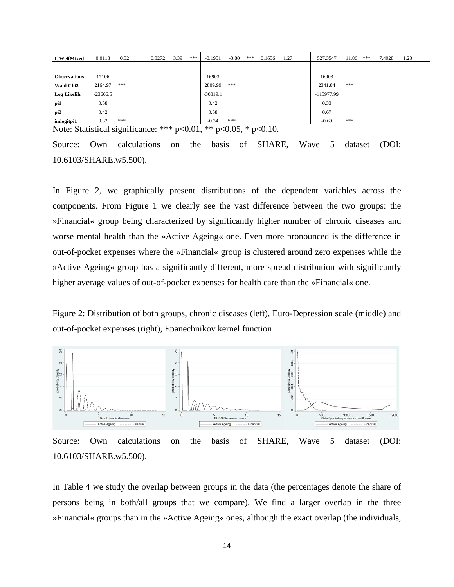| I WelfMixed                                                               | 0.0118     | 0.32 | 0.3272 | 3.39 | *** | $-0.1951$  | $-3.80$ | *** | 0.1656 | 1.27 | 527.3547     | 11.86 | *** | 7.4928 | 1.23 |
|---------------------------------------------------------------------------|------------|------|--------|------|-----|------------|---------|-----|--------|------|--------------|-------|-----|--------|------|
|                                                                           |            |      |        |      |     |            |         |     |        |      |              |       |     |        |      |
| <b>Observations</b>                                                       | 17106      |      |        |      |     | 16903      |         |     |        |      | 16903        |       |     |        |      |
| <b>Wald Chi2</b>                                                          | 2164.97    | ***  |        |      |     | 2809.99    | ***     |     |        |      | 2341.84      | ***   |     |        |      |
| Log Likelih.                                                              | $-23666.5$ |      |        |      |     | $-30819.1$ |         |     |        |      | $-115977.99$ |       |     |        |      |
| pi1                                                                       | 0.58       |      |        |      |     | 0.42       |         |     |        |      | 0.33         |       |     |        |      |
| pi <sub>2</sub>                                                           | 0.42       |      |        |      |     | 0.58       |         |     |        |      | 0.67         |       |     |        |      |
| imlogitpi1                                                                | 0.32       | ***  |        |      |     | $-0.34$    | ***     |     |        |      | $-0.69$      | ***   |     |        |      |
| Note: Statistical significance: *** $p<0.01$ , ** $p<0.05$ , * $p<0.10$ . |            |      |        |      |     |            |         |     |        |      |              |       |     |        |      |

Source: Own calculations on the basis of SHARE, Wave 5 dataset (DOI: 10.6103/SHARE.w5.500).

In Figure 2, we graphically present distributions of the dependent variables across the components. From Figure 1 we clearly see the vast difference between the two groups: the »Financial« group being characterized by significantly higher number of chronic diseases and worse mental health than the »Active Ageing« one. Even more pronounced is the difference in out-of-pocket expenses where the »Financial« group is clustered around zero expenses while the »Active Ageing« group has a significantly different, more spread distribution with significantly higher average values of out-of-pocket expenses for health care than the »Financial« one.

Figure 2: Distribution of both groups, chronic diseases (left), Euro-Depression scale (middle) and out-of-pocket expenses (right), Epanechnikov kernel function



Source: Own calculations on the basis of SHARE, Wave 5 dataset (DOI: 10.6103/SHARE.w5.500).

In Table 4 we study the overlap between groups in the data (the percentages denote the share of persons being in both/all groups that we compare). We find a larger overlap in the three »Financial« groups than in the »Active Ageing« ones, although the exact overlap (the individuals,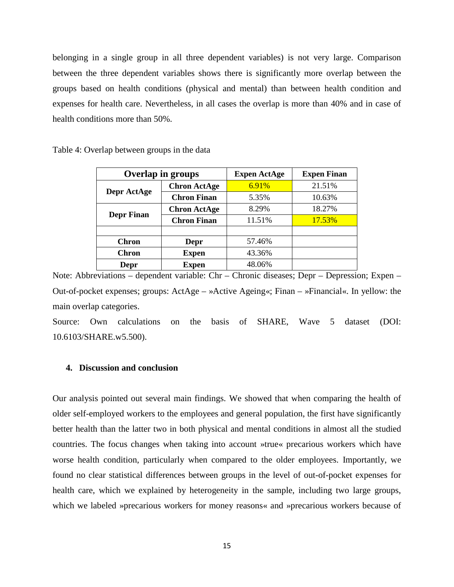belonging in a single group in all three dependent variables) is not very large. Comparison between the three dependent variables shows there is significantly more overlap between the groups based on health conditions (physical and mental) than between health condition and expenses for health care. Nevertheless, in all cases the overlap is more than 40% and in case of health conditions more than 50%.

|                   | <b>Overlap in groups</b> | <b>Expen ActAge</b> | <b>Expen Finan</b> |  |  |  |
|-------------------|--------------------------|---------------------|--------------------|--|--|--|
|                   | <b>Chron ActAge</b>      | 6.91%               | 21.51%             |  |  |  |
| Depr ActAge       | <b>Chron Finan</b>       | 5.35%               | 10.63%             |  |  |  |
|                   | <b>Chron ActAge</b>      | 8.29%               | 18.27%             |  |  |  |
| <b>Depr Finan</b> | <b>Chron Finan</b>       | 11.51%              | 17.53%             |  |  |  |
|                   |                          |                     |                    |  |  |  |
| <b>Chron</b>      | Depr                     | 57.46%              |                    |  |  |  |
| <b>Chron</b>      | <b>Expen</b>             | 43.36%              |                    |  |  |  |
| Depr              | Expen                    | 48.06%              |                    |  |  |  |

Table 4: Overlap between groups in the data

Note: Abbreviations – dependent variable: Chr – Chronic diseases; Depr – Depression; Expen – Out-of-pocket expenses; groups: ActAge – »Active Ageing«; Finan – »Financial«. In yellow: the main overlap categories.

Source: Own calculations on the basis of SHARE, Wave 5 dataset (DOI: 10.6103/SHARE.w5.500).

## **4. Discussion and conclusion**

Our analysis pointed out several main findings. We showed that when comparing the health of older self-employed workers to the employees and general population, the first have significantly better health than the latter two in both physical and mental conditions in almost all the studied countries. The focus changes when taking into account »true« precarious workers which have worse health condition, particularly when compared to the older employees. Importantly, we found no clear statistical differences between groups in the level of out-of-pocket expenses for health care, which we explained by heterogeneity in the sample, including two large groups, which we labeled »precarious workers for money reasons« and »precarious workers because of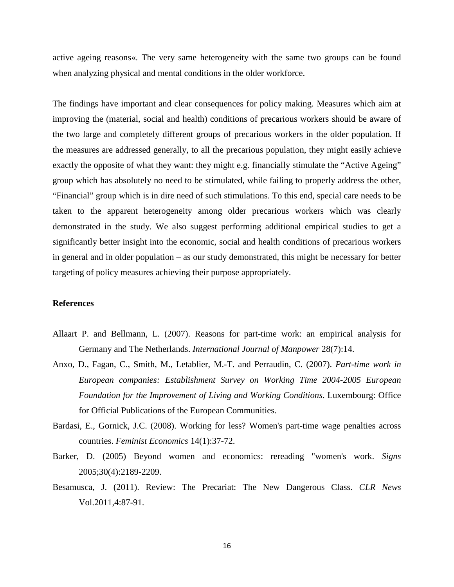active ageing reasons«. The very same heterogeneity with the same two groups can be found when analyzing physical and mental conditions in the older workforce.

The findings have important and clear consequences for policy making. Measures which aim at improving the (material, social and health) conditions of precarious workers should be aware of the two large and completely different groups of precarious workers in the older population. If the measures are addressed generally, to all the precarious population, they might easily achieve exactly the opposite of what they want: they might e.g. financially stimulate the "Active Ageing" group which has absolutely no need to be stimulated, while failing to properly address the other, "Financial" group which is in dire need of such stimulations. To this end, special care needs to be taken to the apparent heterogeneity among older precarious workers which was clearly demonstrated in the study. We also suggest performing additional empirical studies to get a significantly better insight into the economic, social and health conditions of precarious workers in general and in older population – as our study demonstrated, this might be necessary for better targeting of policy measures achieving their purpose appropriately.

# **References**

- Allaart P. and Bellmann, L. (2007). Reasons for part-time work: an empirical analysis for Germany and The Netherlands. *International Journal of Manpower* 28(7):14.
- Anxo, D., Fagan, C., Smith, M., Letablier, M.-T. and Perraudin, C. (2007). *Part-time work in European companies: Establishment Survey on Working Time 2004-2005 European Foundation for the Improvement of Living and Working Conditions*. Luxembourg: Office for Official Publications of the European Communities.
- Bardasi, E., Gornick, J.C. (2008). Working for less? Women's part-time wage penalties across countries. *Feminist Economics* 14(1):37-72.
- Barker, D. (2005) Beyond women and economics: rereading "women's work. *Signs* 2005;30(4):2189-2209.
- Besamusca, J. (2011). Review: The Precariat: The New Dangerous Class. *CLR News* Vol.2011,4:87-91.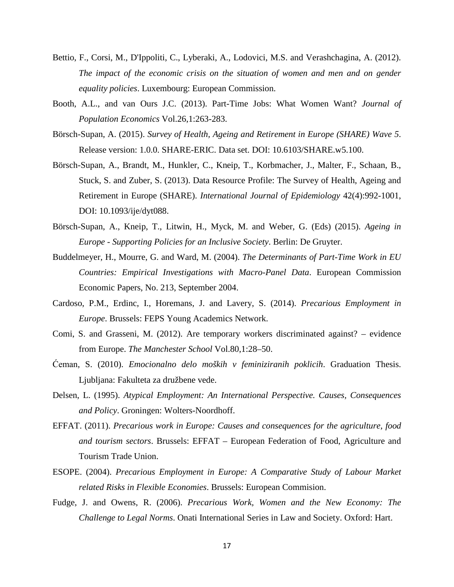- Bettio, F., Corsi, M., D'Ippoliti, C., Lyberaki, A., Lodovici, M.S. and Verashchagina, A. (2012). *The impact of the economic crisis on the situation of women and men and on gender equality policies*. Luxembourg: European Commission.
- Booth, A.L., and van Ours J.C. (2013). Part-Time Jobs: What Women Want? *Journal of Population Economics* Vol.26,1:263-283.
- Börsch-Supan, A. (2015). *Survey of Health, Ageing and Retirement in Europe (SHARE) Wave 5*. Release version: 1.0.0. SHARE-ERIC. Data set. DOI: 10.6103/SHARE.w5.100.
- Börsch-Supan, A., Brandt, M., Hunkler, C., Kneip, T., Korbmacher, J., Malter, F., Schaan, B., Stuck, S. and Zuber, S. (2013). Data Resource Profile: The Survey of Health, Ageing and Retirement in Europe (SHARE). *International Journal of Epidemiology* 42(4):992-1001, DOI: 10.1093/ije/dyt088.
- Börsch-Supan, A., Kneip, T., Litwin, H., Myck, M. and Weber, G. (Eds) (2015). *Ageing in Europe - Supporting Policies for an Inclusive Society*. Berlin: De Gruyter.
- Buddelmeyer, H., Mourre, G. and Ward, M. (2004). *The Determinants of Part-Time Work in EU Countries: Empirical Investigations with Macro-Panel Data*. European Commission Economic Papers, No. 213, September 2004.
- Cardoso, P.M., Erdinc, I., Horemans, J. and Lavery, S. (2014). *Precarious Employment in Europe*. Brussels: FEPS Young Academics Network.
- Comi, S. and Grasseni, M. (2012). Are temporary workers discriminated against? evidence from Europe. *The Manchester School* Vol.80,1:28–50.
- Ćeman, S. (2010). *Emocionalno delo moških v feminiziranih poklicih*. Graduation Thesis. Ljubljana: Fakulteta za družbene vede.
- Delsen, L. (1995). *Atypical Employment: An International Perspective. Causes, Consequences and Policy*. Groningen: Wolters-Noordhoff.
- EFFAT. (2011). *Precarious work in Europe: Causes and consequences for the agriculture, food and tourism sectors*. Brussels: EFFAT – European Federation of Food, Agriculture and Tourism Trade Union.
- ESOPE. (2004). *Precarious Employment in Europe: A Comparative Study of Labour Market related Risks in Flexible Economies*. Brussels: European Commision.
- Fudge, J. and Owens, R. (2006). *Precarious Work, Women and the New Economy: The Challenge to Legal Norms*. Onati International Series in Law and Society. Oxford: Hart.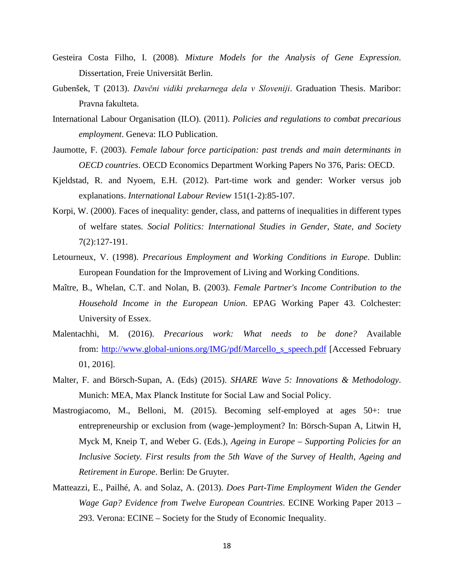- Gesteira Costa Filho, I. (2008). *Mixture Models for the Analysis of Gene Expression*. Dissertation, Freie Universität Berlin.
- Gubenšek, T (2013). *Davčni vidiki prekarnega dela v Sloveniji*. Graduation Thesis. Maribor: Pravna fakulteta.
- International Labour Organisation (ILO). (2011). *Policies and regulations to combat precarious employment*. Geneva: ILO Publication.
- Jaumotte, F. (2003). *Female labour force participation: past trends and main determinants in OECD countries*. OECD Economics Department Working Papers No 376, Paris: OECD.
- Kjeldstad, R. and Nyoem, E.H. (2012). Part-time work and gender: Worker versus job explanations. *International Labour Review* 151(1-2):85-107.
- Korpi, W. (2000). Faces of inequality: gender, class, and patterns of inequalities in different types of welfare states. *Social Politics: International Studies in Gender, State, and Society* 7(2):127-191.
- Letourneux, V. (1998). *Precarious Employment and Working Conditions in Europe*. Dublin: European Foundation for the Improvement of Living and Working Conditions.
- Maître, B., Whelan, C.T. and Nolan, B. (2003). *Female Partner's Income Contribution to the Household Income in the European Union*. EPAG Working Paper 43. Colchester: University of Essex.
- Malentachhi, M. (2016). *Precarious work: What needs to be done?* Available from: [http://www.global-unions.org/IMG/pdf/Marcello\\_s\\_speech.pdf](http://www.global-unions.org/IMG/pdf/Marcello_s_speech.pdf) [Accessed February 01, 2016].
- Malter, F. and Börsch-Supan, A. (Eds) (2015). *SHARE Wave 5: Innovations & Methodology*. Munich: MEA, Max Planck Institute for Social Law and Social Policy.
- Mastrogiacomo, M., Belloni, M. (2015). Becoming self-employed at ages 50+: true entrepreneurship or exclusion from (wage-)employment? In: Börsch‐Supan A, Litwin H, Myck M, Kneip T, and Weber G. (Eds.), *Ageing in Europe – Supporting Policies for an Inclusive Society. First results from the 5th Wave of the Survey of Health, Ageing and Retirement in Europe*. Berlin: De Gruyter.
- Matteazzi, E., Pailhé, A. and Solaz, A. (2013). *Does Part-Time Employment Widen the Gender Wage Gap? Evidence from Twelve European Countries*. ECINE Working Paper 2013 – 293. Verona: ECINE – Society for the Study of Economic Inequality.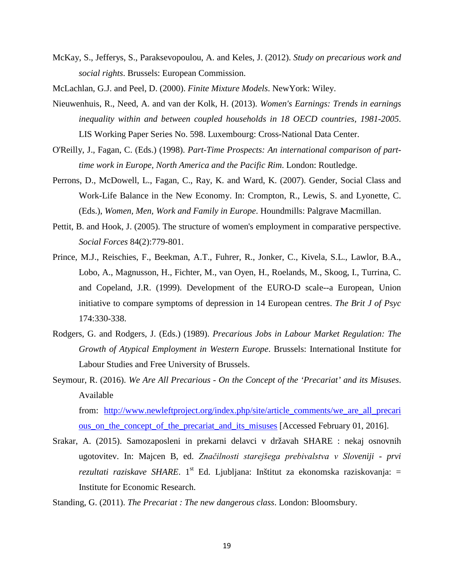McKay, S., Jefferys, S., Paraksevopoulou, A. and Keles, J. (2012). *Study on precarious work and social rights*. Brussels: European Commission.

McLachlan, G.J. and Peel, D. (2000). *Finite Mixture Models*. NewYork: Wiley.

- Nieuwenhuis, R., Need, A. and van der Kolk, H. (2013). *Women's Earnings: Trends in earnings inequality within and between coupled households in 18 OECD countries, 1981-2005*. LIS Working Paper Series No. 598. Luxembourg: Cross-National Data Center.
- O'Reilly, J., Fagan, C. (Eds.) (1998). *Part-Time Prospects: An international comparison of parttime work in Europe, North America and the Pacific Rim*. London: Routledge.
- Perrons, D., McDowell, L., Fagan, C., Ray, K. and Ward, K. (2007). Gender, Social Class and Work-Life Balance in the New Economy. In: Crompton, R., Lewis, S. and Lyonette, C. (Eds.), *Women, Men, Work and Family in Europe*. Houndmills: Palgrave Macmillan.
- Pettit, B. and Hook, J. (2005). The structure of women's employment in comparative perspective. *Social Forces* 84(2):779-801.
- Prince, M.J., Reischies, F., Beekman, A.T., Fuhrer, R., Jonker, C., Kivela, S.L., Lawlor, B.A., Lobo, A., Magnusson, H., Fichter, M., van Oyen, H., Roelands, M., Skoog, I., Turrina, C. and Copeland, J.R. (1999). Development of the EURO-D scale--a European, Union initiative to compare symptoms of depression in 14 European centres. *The Brit J of Psyc* 174:330-338.
- Rodgers, G. and Rodgers, J. (Eds.) (1989). *Precarious Jobs in Labour Market Regulation: The Growth of Atypical Employment in Western Europe*. Brussels: International Institute for Labour Studies and Free University of Brussels.
- Seymour, R. (2016). *We Are All Precarious - On the Concept of the 'Precariat' and its Misuses*. Available

from: [http://www.newleftproject.org/index.php/site/article\\_comments/we\\_are\\_all\\_precari](http://www.newleftproject.org/index.php/site/article_comments/we_are_all_precarious_on_the_concept_of_the_precariat_and_its_misuses) [ous\\_on\\_the\\_concept\\_of\\_the\\_precariat\\_and\\_its\\_misuses](http://www.newleftproject.org/index.php/site/article_comments/we_are_all_precarious_on_the_concept_of_the_precariat_and_its_misuses) [Accessed February 01, 2016].

- Srakar, A. (2015). Samozaposleni in prekarni delavci v državah SHARE : nekaj osnovnih ugotovitev. In: Majcen B, ed. *Značilnosti starejšega prebivalstva v Sloveniji - prvi rezultati raziskave SHARE*. 1<sup>st</sup> Ed. Ljubljana: Inštitut za ekonomska raziskovanja:  $=$ Institute for Economic Research.
- Standing, G. (2011). *The Precariat : The new dangerous class*. London: Bloomsbury.